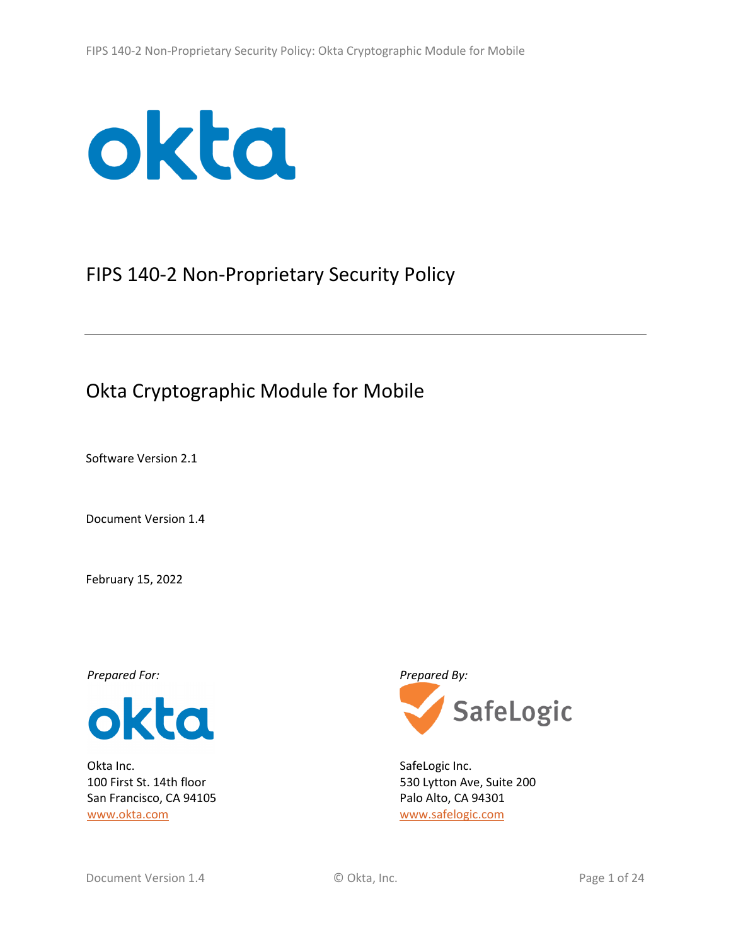

# FIPS 140-2 Non-Proprietary Security Policy

# Okta Cryptographic Module for Mobile

Software Version 2.1

Document Version 1.4

February 15, 2022



Okta Inc. 100 First St. 14th floor San Francisco, CA 94105 [www.okta.com](http://www.okta.com/)



SafeLogic Inc. 530 Lytton Ave, Suite 200 Palo Alto, CA 94301 [www.safelogic.com](https://www.safelogic.com/)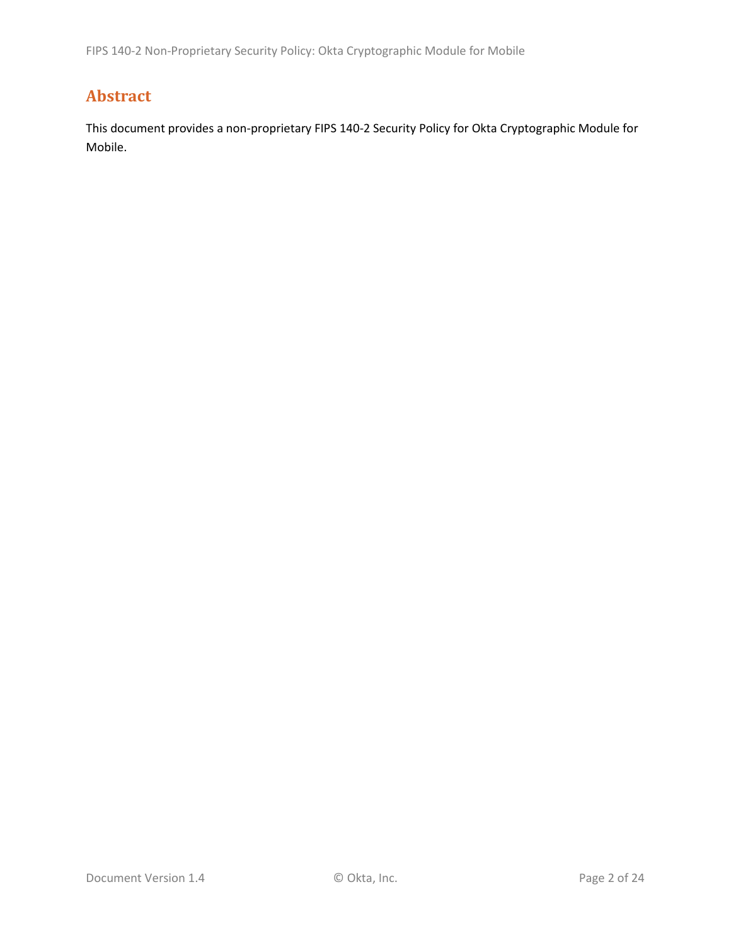## <span id="page-1-0"></span>**Abstract**

This document provides a non-proprietary FIPS 140-2 Security Policy for Okta Cryptographic Module for Mobile.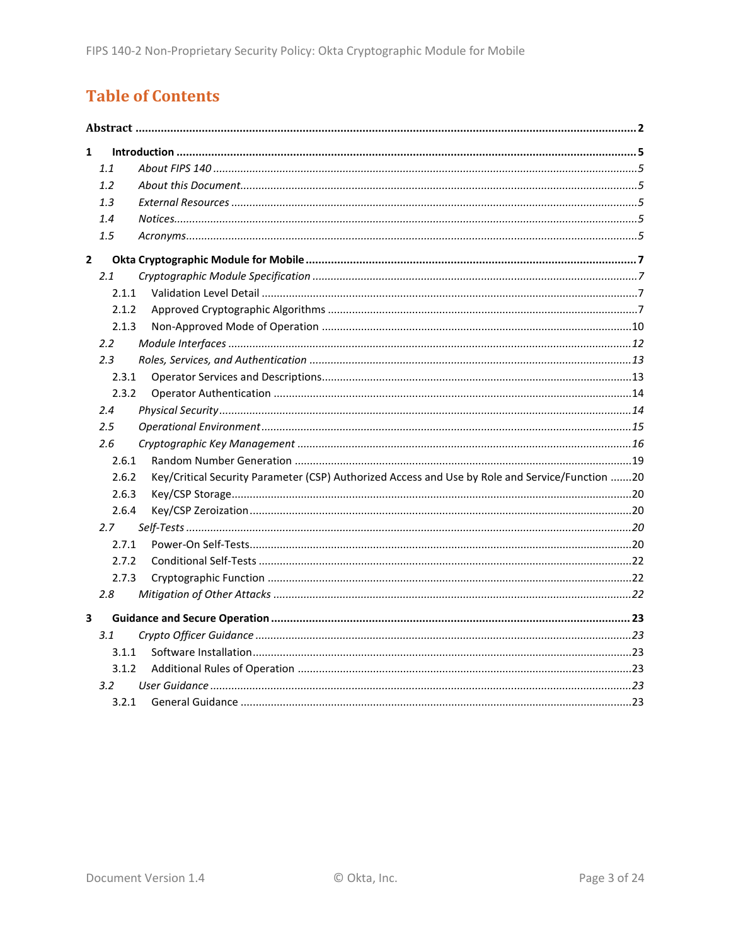# **Table of Contents**

| 1              |       |                                                                                                 |  |  |
|----------------|-------|-------------------------------------------------------------------------------------------------|--|--|
|                | 1.1   |                                                                                                 |  |  |
|                | 1.2   |                                                                                                 |  |  |
|                | 1.3   |                                                                                                 |  |  |
|                | 1.4   |                                                                                                 |  |  |
|                | 1.5   |                                                                                                 |  |  |
| $\overline{2}$ |       |                                                                                                 |  |  |
|                | 2.1   |                                                                                                 |  |  |
|                | 2.1.1 |                                                                                                 |  |  |
|                | 2.1.2 |                                                                                                 |  |  |
|                | 2.1.3 |                                                                                                 |  |  |
|                | 2.2   |                                                                                                 |  |  |
|                | 2.3   |                                                                                                 |  |  |
|                | 2.3.1 |                                                                                                 |  |  |
|                | 2.3.2 |                                                                                                 |  |  |
|                | 2.4   |                                                                                                 |  |  |
|                | 2.5   |                                                                                                 |  |  |
|                | 2.6   |                                                                                                 |  |  |
|                | 2.6.1 |                                                                                                 |  |  |
|                | 2.6.2 | Key/Critical Security Parameter (CSP) Authorized Access and Use by Role and Service/Function 20 |  |  |
|                | 2.6.3 |                                                                                                 |  |  |
|                | 2.6.4 |                                                                                                 |  |  |
|                | 2.7   |                                                                                                 |  |  |
|                | 2.7.1 |                                                                                                 |  |  |
|                | 2.7.2 |                                                                                                 |  |  |
|                | 2.7.3 |                                                                                                 |  |  |
|                | 2.8   |                                                                                                 |  |  |
| 3              |       |                                                                                                 |  |  |
|                | 3.1   |                                                                                                 |  |  |
|                | 3.1.1 |                                                                                                 |  |  |
|                | 3.1.2 |                                                                                                 |  |  |
|                | 3.2   |                                                                                                 |  |  |
|                | 3.2.1 |                                                                                                 |  |  |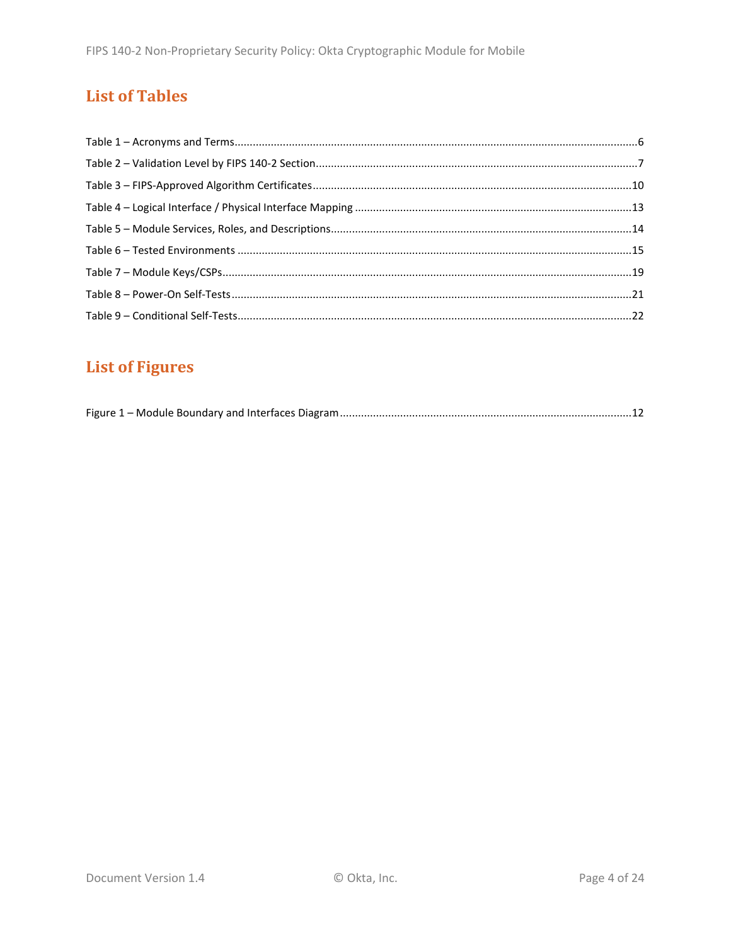## **List of Tables**

# **List of Figures**

|--|--|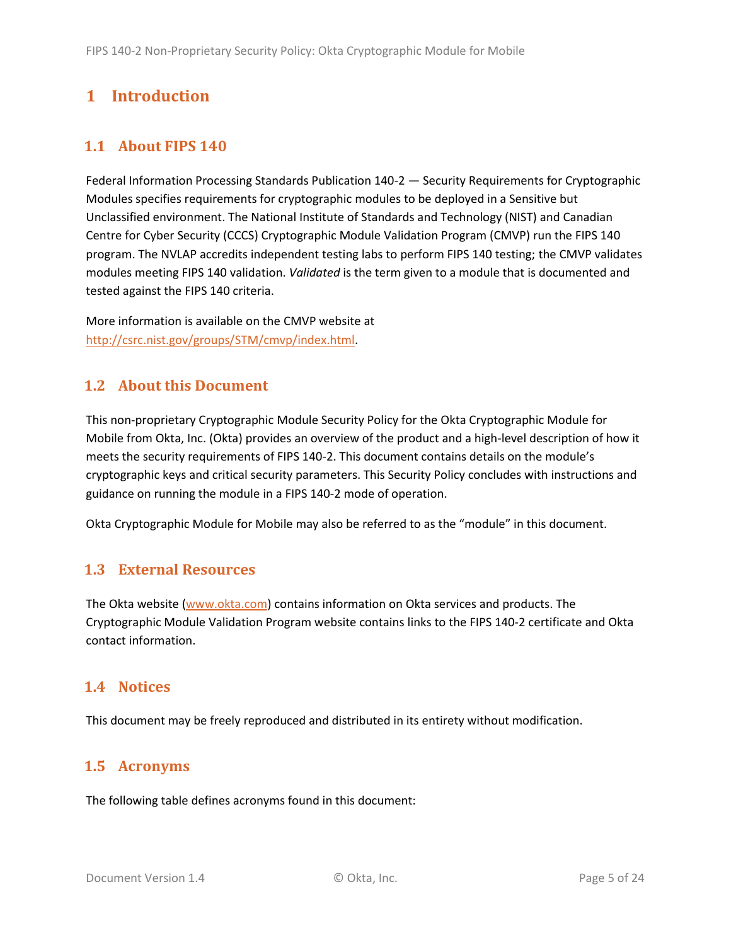## <span id="page-4-0"></span>**1 Introduction**

### <span id="page-4-1"></span>**1.1 About FIPS 140**

Federal Information Processing Standards Publication 140-2 — Security Requirements for Cryptographic Modules specifies requirements for cryptographic modules to be deployed in a Sensitive but Unclassified environment. The National Institute of Standards and Technology (NIST) and Canadian Centre for Cyber Security (CCCS) Cryptographic Module Validation Program (CMVP) run the FIPS 140 program. The NVLAP accredits independent testing labs to perform FIPS 140 testing; the CMVP validates modules meeting FIPS 140 validation. *Validated* is the term given to a module that is documented and tested against the FIPS 140 criteria.

More information is available on the CMVP website at [http://csrc.nist.gov/groups/STM/cmvp/index.html.](http://csrc.nist.gov/groups/STM/cmvp/index.html)

### <span id="page-4-2"></span>**1.2 About this Document**

This non-proprietary Cryptographic Module Security Policy for the Okta Cryptographic Module for Mobile from Okta, Inc. (Okta) provides an overview of the product and a high-level description of how it meets the security requirements of FIPS 140-2. This document contains details on the module's cryptographic keys and critical security parameters. This Security Policy concludes with instructions and guidance on running the module in a FIPS 140-2 mode of operation.

Okta Cryptographic Module for Mobile may also be referred to as the "module" in this document.

#### <span id="page-4-3"></span>**1.3 External Resources**

The Okta website [\(www.okta.com\)](http://www.okta.com/) contains information on Okta services and products. The Cryptographic Module Validation Program website contains links to the FIPS 140-2 certificate and Okta contact information.

#### <span id="page-4-4"></span>**1.4 Notices**

This document may be freely reproduced and distributed in its entirety without modification.

#### <span id="page-4-5"></span>**1.5 Acronyms**

The following table defines acronyms found in this document: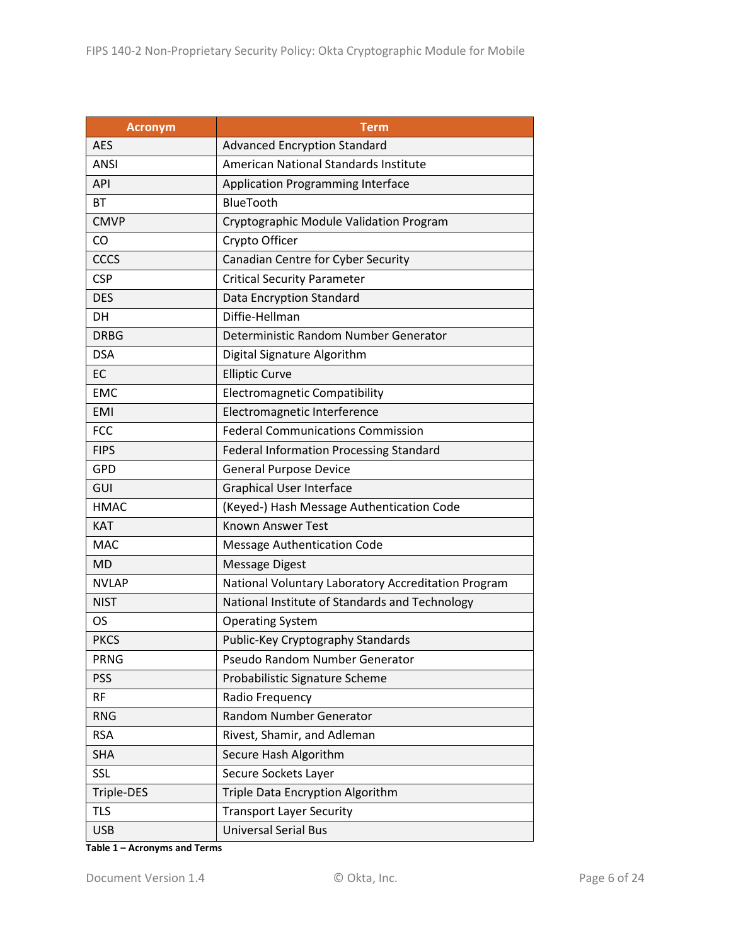| <b>Acronym</b> | <b>Term</b>                                         |  |  |  |
|----------------|-----------------------------------------------------|--|--|--|
| <b>AES</b>     | <b>Advanced Encryption Standard</b>                 |  |  |  |
| ANSI           | American National Standards Institute               |  |  |  |
| <b>API</b>     | <b>Application Programming Interface</b>            |  |  |  |
| BT             | BlueTooth                                           |  |  |  |
| <b>CMVP</b>    | Cryptographic Module Validation Program             |  |  |  |
| CO             | Crypto Officer                                      |  |  |  |
| <b>CCCS</b>    | Canadian Centre for Cyber Security                  |  |  |  |
| <b>CSP</b>     | <b>Critical Security Parameter</b>                  |  |  |  |
| <b>DES</b>     | Data Encryption Standard                            |  |  |  |
| DH             | Diffie-Hellman                                      |  |  |  |
| <b>DRBG</b>    | Deterministic Random Number Generator               |  |  |  |
| <b>DSA</b>     | Digital Signature Algorithm                         |  |  |  |
| EC             | <b>Elliptic Curve</b>                               |  |  |  |
| <b>EMC</b>     | <b>Electromagnetic Compatibility</b>                |  |  |  |
| <b>EMI</b>     | Electromagnetic Interference                        |  |  |  |
| <b>FCC</b>     | <b>Federal Communications Commission</b>            |  |  |  |
| <b>FIPS</b>    | <b>Federal Information Processing Standard</b>      |  |  |  |
| <b>GPD</b>     | <b>General Purpose Device</b>                       |  |  |  |
| GUI            | <b>Graphical User Interface</b>                     |  |  |  |
| <b>HMAC</b>    | (Keyed-) Hash Message Authentication Code           |  |  |  |
| <b>KAT</b>     | <b>Known Answer Test</b>                            |  |  |  |
| <b>MAC</b>     | <b>Message Authentication Code</b>                  |  |  |  |
| <b>MD</b>      | <b>Message Digest</b>                               |  |  |  |
| <b>NVLAP</b>   | National Voluntary Laboratory Accreditation Program |  |  |  |
| <b>NIST</b>    | National Institute of Standards and Technology      |  |  |  |
| OS             | <b>Operating System</b>                             |  |  |  |
| <b>PKCS</b>    | Public-Key Cryptography Standards                   |  |  |  |
| <b>PRNG</b>    | Pseudo Random Number Generator                      |  |  |  |
| <b>PSS</b>     | Probabilistic Signature Scheme                      |  |  |  |
| <b>RF</b>      | Radio Frequency                                     |  |  |  |
| <b>RNG</b>     | Random Number Generator                             |  |  |  |
| <b>RSA</b>     | Rivest, Shamir, and Adleman                         |  |  |  |
| <b>SHA</b>     | Secure Hash Algorithm                               |  |  |  |
| <b>SSL</b>     | Secure Sockets Layer                                |  |  |  |
| Triple-DES     | Triple Data Encryption Algorithm                    |  |  |  |
| <b>TLS</b>     | <b>Transport Layer Security</b>                     |  |  |  |
| <b>USB</b>     | <b>Universal Serial Bus</b>                         |  |  |  |

**Table 1 – Acronyms and Terms**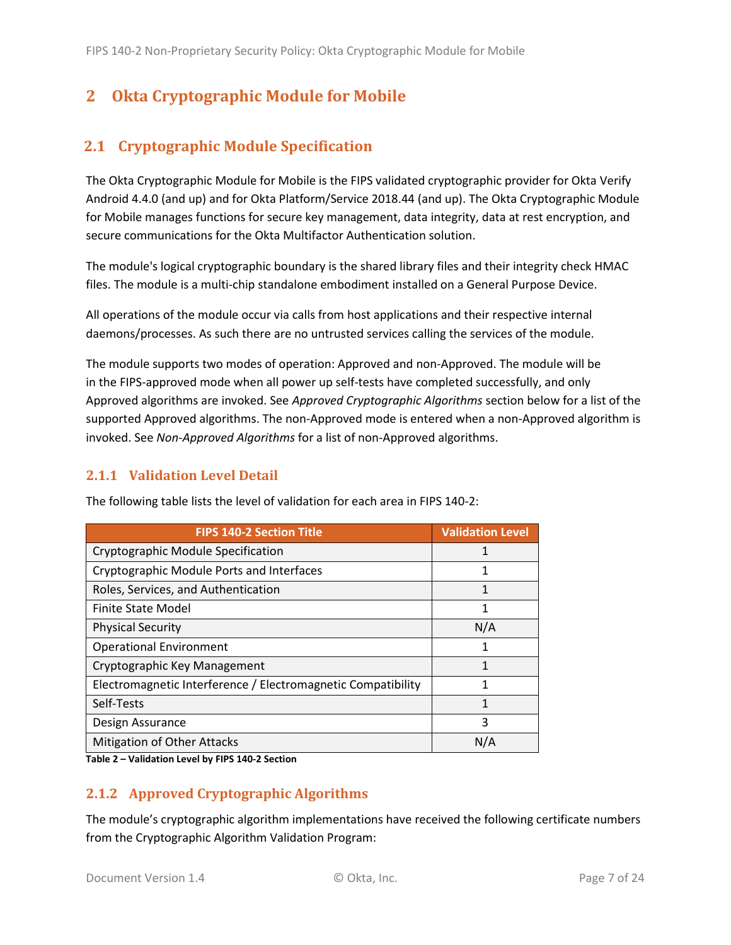## <span id="page-6-0"></span>**2 Okta Cryptographic Module for Mobile**

#### <span id="page-6-1"></span>**2.1 Cryptographic Module Specification**

The Okta Cryptographic Module for Mobile is the FIPS validated cryptographic provider for Okta Verify Android 4.4.0 (and up) and for Okta Platform/Service 2018.44 (and up). The Okta Cryptographic Module for Mobile manages functions for secure key management, data integrity, data at rest encryption, and secure communications for the Okta Multifactor Authentication solution.

The module's logical cryptographic boundary is the shared library files and their integrity check HMAC files. The module is a multi-chip standalone embodiment installed on a General Purpose Device.

All operations of the module occur via calls from host applications and their respective internal daemons/processes. As such there are no untrusted services calling the services of the module.

The module supports two modes of operation: Approved and non-Approved. The module will be in the FIPS-approved mode when all power up self-tests have completed successfully, and only Approved algorithms are invoked. See *Approved Cryptographic Algorithms* section below for a list of the supported Approved algorithms. The non-Approved mode is entered when a non-Approved algorithm is invoked. See *Non-Approved Algorithms* for a list of non-Approved algorithms.

#### <span id="page-6-2"></span>**2.1.1 Validation Level Detail**

| <b>FIPS 140-2 Section Title</b>                              | <b>Validation Level</b> |
|--------------------------------------------------------------|-------------------------|
| Cryptographic Module Specification                           |                         |
| Cryptographic Module Ports and Interfaces                    | 1                       |
| Roles, Services, and Authentication                          | 1                       |
| <b>Finite State Model</b>                                    | 1                       |
| <b>Physical Security</b>                                     | N/A                     |
| <b>Operational Environment</b>                               | 1                       |
| Cryptographic Key Management                                 | 1                       |
| Electromagnetic Interference / Electromagnetic Compatibility | 1                       |
| Self-Tests                                                   | 1                       |
| Design Assurance                                             | 3                       |
| <b>Mitigation of Other Attacks</b>                           | N/A                     |

The following table lists the level of validation for each area in FIPS 140-2:

**Table 2 – Validation Level by FIPS 140-2 Section**

#### <span id="page-6-3"></span>**2.1.2 Approved Cryptographic Algorithms**

The module's cryptographic algorithm implementations have received the following certificate numbers from the Cryptographic Algorithm Validation Program: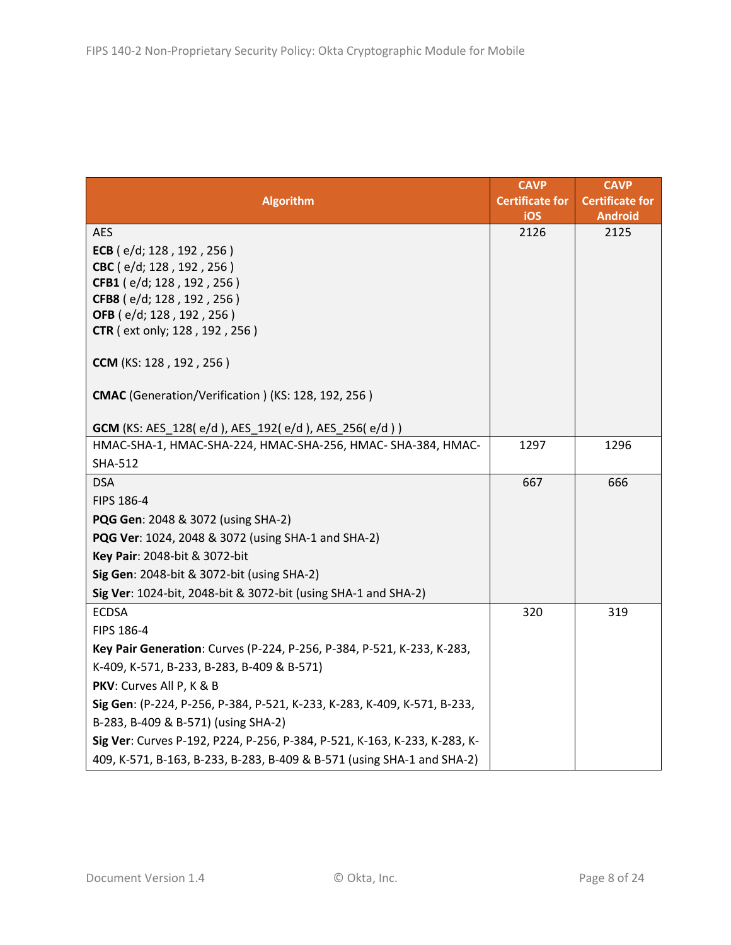|                                                                           | <b>CAVP</b>            | <b>CAVP</b>            |
|---------------------------------------------------------------------------|------------------------|------------------------|
| <b>Algorithm</b>                                                          | <b>Certificate for</b> | <b>Certificate for</b> |
|                                                                           | iOS                    | <b>Android</b>         |
| <b>AES</b>                                                                | 2126                   | 2125                   |
| ECB ( $e/d$ ; 128, 192, 256)<br>CBC (e/d; 128, 192, 256)                  |                        |                        |
| CFB1 (e/d; 128, 192, 256)                                                 |                        |                        |
| CFB8 (e/d; 128, 192, 256)                                                 |                        |                        |
| OFB (e/d; 128, 192, 256)                                                  |                        |                        |
| <b>CTR</b> ( ext only; 128, 192, 256)                                     |                        |                        |
| <b>CCM</b> (KS: 128, 192, 256)                                            |                        |                        |
| CMAC (Generation/Verification) (KS: 128, 192, 256)                        |                        |                        |
| <b>GCM</b> (KS: AES_128(e/d), AES_192(e/d), AES_256(e/d))                 |                        |                        |
| HMAC-SHA-1, HMAC-SHA-224, HMAC-SHA-256, HMAC- SHA-384, HMAC-              | 1297                   | 1296                   |
| <b>SHA-512</b>                                                            |                        |                        |
| <b>DSA</b>                                                                | 667                    | 666                    |
| FIPS 186-4                                                                |                        |                        |
| PQG Gen: 2048 & 3072 (using SHA-2)                                        |                        |                        |
| PQG Ver: 1024, 2048 & 3072 (using SHA-1 and SHA-2)                        |                        |                        |
| Key Pair: 2048-bit & 3072-bit                                             |                        |                        |
| Sig Gen: 2048-bit & 3072-bit (using SHA-2)                                |                        |                        |
| Sig Ver: 1024-bit, 2048-bit & 3072-bit (using SHA-1 and SHA-2)            |                        |                        |
| <b>ECDSA</b>                                                              | 320                    | 319                    |
| FIPS 186-4                                                                |                        |                        |
| Key Pair Generation: Curves (P-224, P-256, P-384, P-521, K-233, K-283,    |                        |                        |
| K-409, K-571, B-233, B-283, B-409 & B-571)                                |                        |                        |
| PKV: Curves All P, K & B                                                  |                        |                        |
| Sig Gen: (P-224, P-256, P-384, P-521, K-233, K-283, K-409, K-571, B-233,  |                        |                        |
| B-283, B-409 & B-571) (using SHA-2)                                       |                        |                        |
| Sig Ver: Curves P-192, P224, P-256, P-384, P-521, K-163, K-233, K-283, K- |                        |                        |
| 409, K-571, B-163, B-233, B-283, B-409 & B-571 (using SHA-1 and SHA-2)    |                        |                        |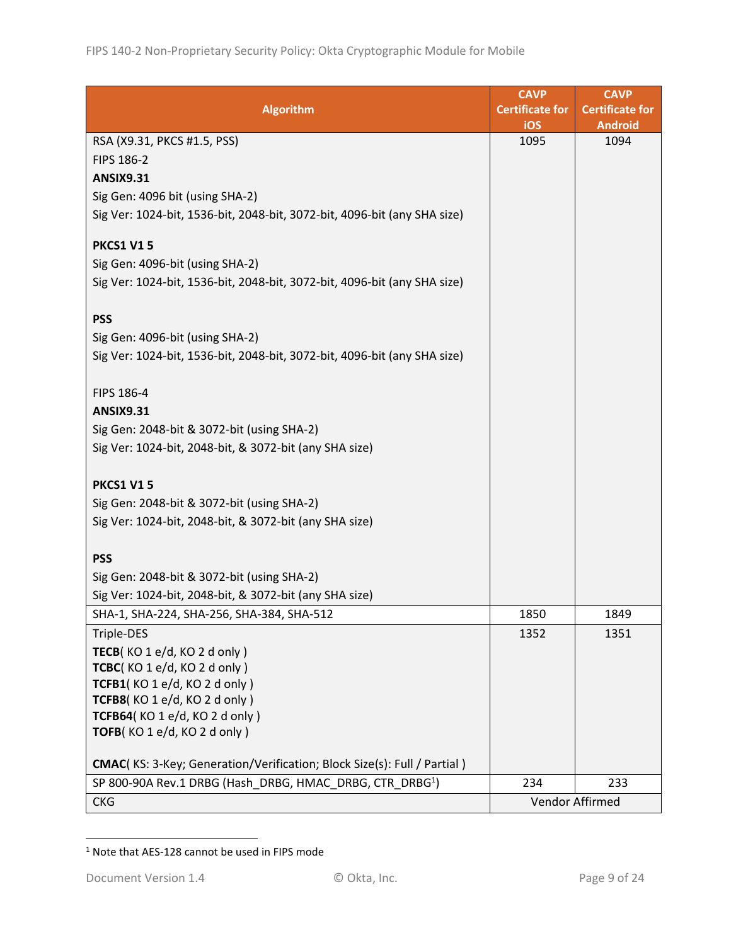|                                                                          | <b>CAVP</b>            | <b>CAVP</b>            |
|--------------------------------------------------------------------------|------------------------|------------------------|
| <b>Algorithm</b>                                                         | <b>Certificate for</b> | <b>Certificate for</b> |
|                                                                          | iOS                    | <b>Android</b>         |
| RSA (X9.31, PKCS #1.5, PSS)                                              | 1095                   | 1094                   |
| FIPS 186-2                                                               |                        |                        |
| <b>ANSIX9.31</b>                                                         |                        |                        |
| Sig Gen: 4096 bit (using SHA-2)                                          |                        |                        |
| Sig Ver: 1024-bit, 1536-bit, 2048-bit, 3072-bit, 4096-bit (any SHA size) |                        |                        |
| <b>PKCS1 V15</b>                                                         |                        |                        |
| Sig Gen: 4096-bit (using SHA-2)                                          |                        |                        |
| Sig Ver: 1024-bit, 1536-bit, 2048-bit, 3072-bit, 4096-bit (any SHA size) |                        |                        |
|                                                                          |                        |                        |
| <b>PSS</b>                                                               |                        |                        |
| Sig Gen: 4096-bit (using SHA-2)                                          |                        |                        |
| Sig Ver: 1024-bit, 1536-bit, 2048-bit, 3072-bit, 4096-bit (any SHA size) |                        |                        |
|                                                                          |                        |                        |
| FIPS 186-4                                                               |                        |                        |
| <b>ANSIX9.31</b>                                                         |                        |                        |
| Sig Gen: 2048-bit & 3072-bit (using SHA-2)                               |                        |                        |
| Sig Ver: 1024-bit, 2048-bit, & 3072-bit (any SHA size)                   |                        |                        |
|                                                                          |                        |                        |
| <b>PKCS1 V15</b>                                                         |                        |                        |
| Sig Gen: 2048-bit & 3072-bit (using SHA-2)                               |                        |                        |
| Sig Ver: 1024-bit, 2048-bit, & 3072-bit (any SHA size)                   |                        |                        |
|                                                                          |                        |                        |
| <b>PSS</b>                                                               |                        |                        |
| Sig Gen: 2048-bit & 3072-bit (using SHA-2)                               |                        |                        |
| Sig Ver: 1024-bit, 2048-bit, & 3072-bit (any SHA size)                   |                        |                        |
| SHA-1, SHA-224, SHA-256, SHA-384, SHA-512                                | 1850                   | 1849                   |
| Triple-DES                                                               | 1352                   | 1351                   |
| TECB(KO1e/d, KO2d only)                                                  |                        |                        |
| TCBC(KO 1 e/d, KO 2 d only)                                              |                        |                        |
| TCFB1(KO 1 e/d, KO 2 d only)                                             |                        |                        |
| TCFB8(KO 1 e/d, KO 2 d only)                                             |                        |                        |
| TCFB64(KO 1 e/d, KO 2 d only)                                            |                        |                        |
| TOFB(KO 1 e/d, KO 2 d only)                                              |                        |                        |
| CMAC(KS: 3-Key; Generation/Verification; Block Size(s): Full / Partial)  |                        |                        |
| SP 800-90A Rev.1 DRBG (Hash_DRBG, HMAC_DRBG, CTR_DRBG <sup>1</sup> )     | 234                    | 233                    |
| <b>CKG</b>                                                               |                        | Vendor Affirmed        |

<sup>1</sup> Note that AES-128 cannot be used in FIPS mode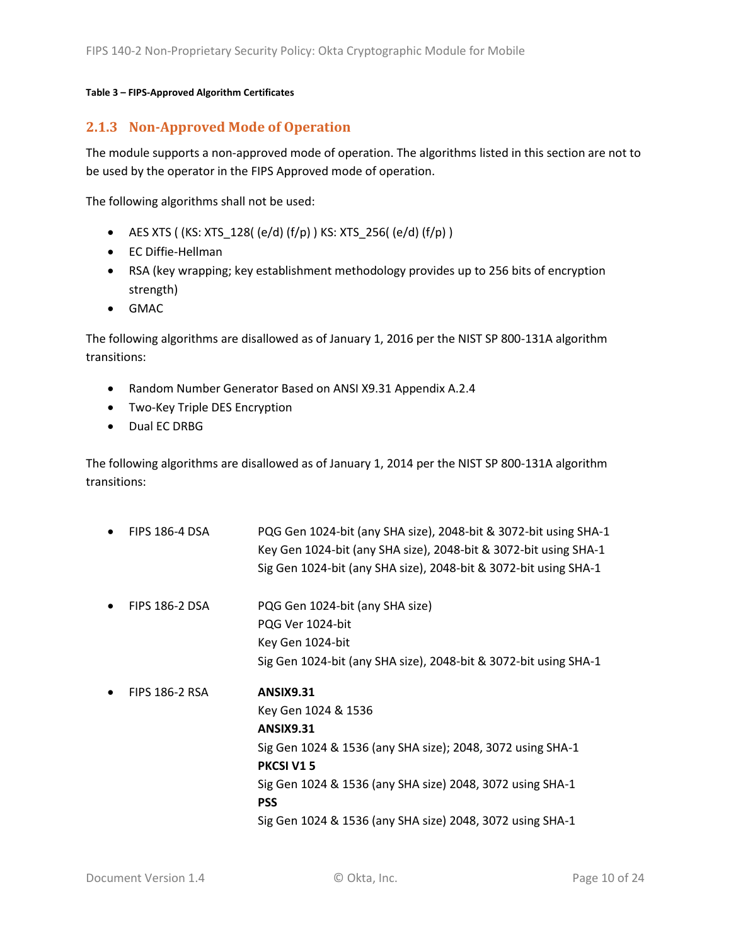#### **Table 3 – FIPS-Approved Algorithm Certificates**

#### <span id="page-9-0"></span>**2.1.3 Non-Approved Mode of Operation**

The module supports a non-approved mode of operation. The algorithms listed in this section are not to be used by the operator in the FIPS Approved mode of operation.

The following algorithms shall not be used:

- AES XTS (  $(KS: XTS_128$   $( e/d)$   $(f/p)$  )  $KS: XTS_256$   $( e/d)$   $(f/p)$  )
- EC Diffie-Hellman
- RSA (key wrapping; key establishment methodology provides up to 256 bits of encryption strength)
- GMAC

The following algorithms are disallowed as of January 1, 2016 per the NIST SP 800-131A algorithm transitions:

- Random Number Generator Based on ANSI X9.31 Appendix A.2.4
- Two-Key Triple DES Encryption
- Dual EC DRBG

The following algorithms are disallowed as of January 1, 2014 per the NIST SP 800-131A algorithm transitions:

• FIPS 186-4 DSA PQG Gen 1024-bit (any SHA size), 2048-bit & 3072-bit using SHA-1 Key Gen 1024-bit (any SHA size), 2048-bit & 3072-bit using SHA-1 Sig Gen 1024-bit (any SHA size), 2048-bit & 3072-bit using SHA-1 • FIPS 186-2 DSA PQG Gen 1024-bit (any SHA size) PQG Ver 1024-bit Key Gen 1024-bit Sig Gen 1024-bit (any SHA size), 2048-bit & 3072-bit using SHA-1 • FIPS 186-2 RSA **ANSIX9.31** Key Gen 1024 & 1536 **ANSIX9.31** Sig Gen 1024 & 1536 (any SHA size); 2048, 3072 using SHA-1 **PKCSI V1 5** Sig Gen 1024 & 1536 (any SHA size) 2048, 3072 using SHA-1 **PSS**  Sig Gen 1024 & 1536 (any SHA size) 2048, 3072 using SHA-1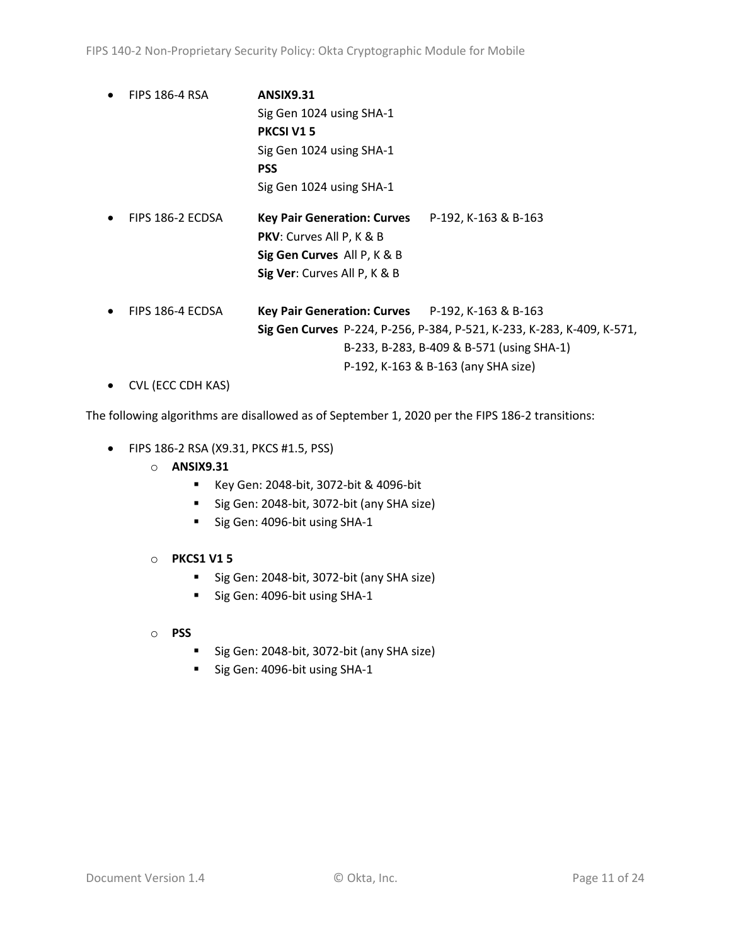- FIPS 186-4 RSA **ANSIX9.31**  Sig Gen 1024 using SHA-1 **PKCSI V1 5** Sig Gen 1024 using SHA-1 **PSS** Sig Gen 1024 using SHA-1 • FIPS 186-2 ECDSA **Key Pair Generation: Curves** P-192, K-163 & B-163 **PKV**: Curves All P, K & B **Sig Gen Curves** All P, K & B **Sig Ver**: Curves All P, K & B • FIPS 186-4 ECDSA **Key Pair Generation: Curves** P-192, K-163 & B-163 **Sig Gen Curves** P-224, P-256, P-384, P-521, K-233, K-283, K-409, K-571, B-233, B-283, B-409 & B-571 (using SHA-1) P-192, K-163 & B-163 (any SHA size)
- CVL (ECC CDH KAS)

The following algorithms are disallowed as of September 1, 2020 per the FIPS 186-2 transitions:

- FIPS 186-2 RSA (X9.31, PKCS #1.5, PSS)
	- o **ANSIX9.31**
		- Key Gen: 2048-bit, 3072-bit & 4096-bit
		- Sig Gen: 2048-bit, 3072-bit (any SHA size)
		- Sig Gen: 4096-bit using SHA-1
	- o **PKCS1 V1 5**
		- Sig Gen: 2048-bit, 3072-bit (any SHA size)
		- Sig Gen: 4096-bit using SHA-1
	- o **PSS**
		- Sig Gen: 2048-bit, 3072-bit (any SHA size)
		- Sig Gen: 4096-bit using SHA-1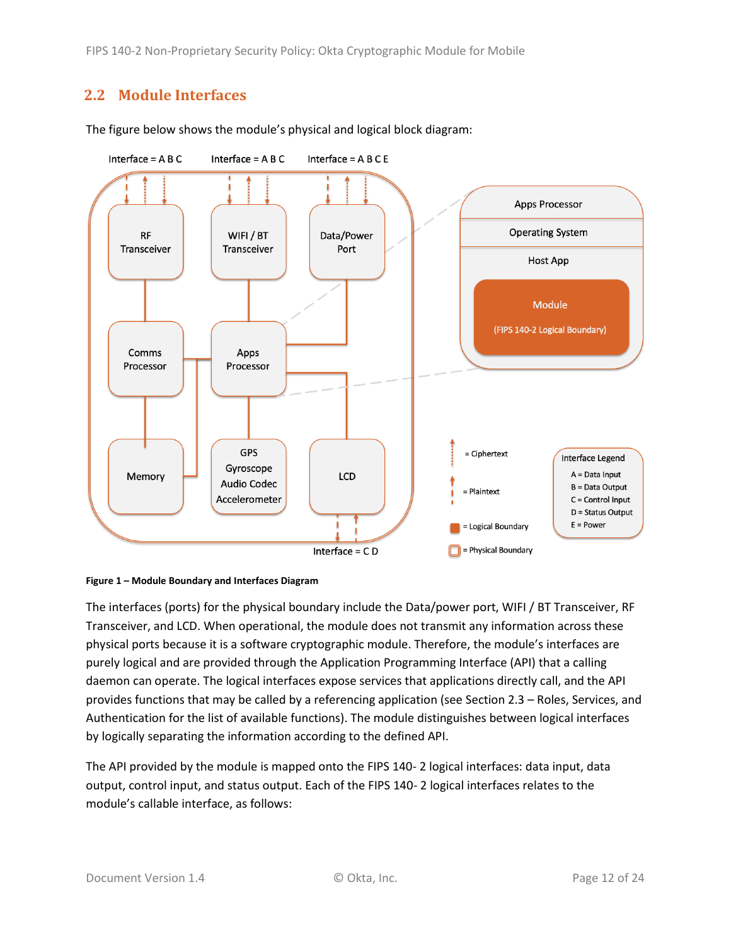FIPS 140-2 Non-Proprietary Security Policy: Okta Cryptographic Module for Mobile

### <span id="page-11-0"></span>**2.2 Module Interfaces**



The figure below shows the module's physical and logical block diagram:

<span id="page-11-1"></span>

The interfaces (ports) for the physical boundary include the Data/power port, WIFI / BT Transceiver, RF Transceiver, and LCD. When operational, the module does not transmit any information across these physical ports because it is a software cryptographic module. Therefore, the module's interfaces are purely logical and are provided through the Application Programming Interface (API) that a calling daemon can operate. The logical interfaces expose services that applications directly call, and the API provides functions that may be called by a referencing application (see Sectio[n 2.3](#page-12-0) – [Roles, Services, and](#page-12-0)  [Authentication](#page-12-0) for the list of available functions). The module distinguishes between logical interfaces by logically separating the information according to the defined API.

The API provided by the module is mapped onto the FIPS 140- 2 logical interfaces: data input, data output, control input, and status output. Each of the FIPS 140- 2 logical interfaces relates to the module's callable interface, as follows: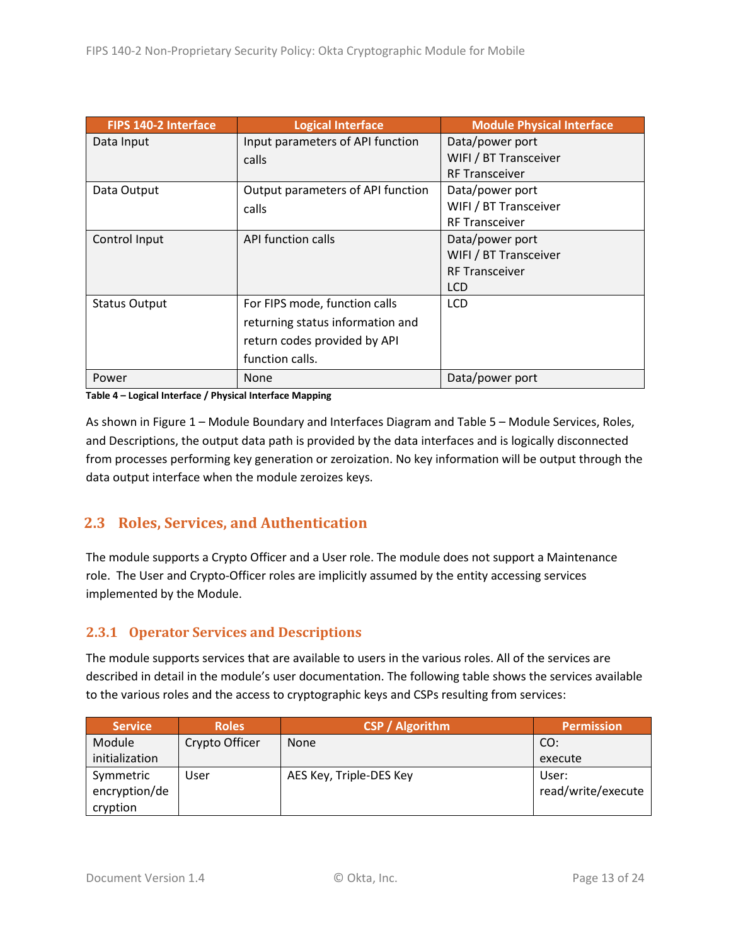| FIPS 140-2 Interface | <b>Logical Interface</b>          | <b>Module Physical Interface</b> |
|----------------------|-----------------------------------|----------------------------------|
| Data Input           | Input parameters of API function  | Data/power port                  |
|                      | calls                             | WIFI / BT Transceiver            |
|                      |                                   | <b>RF Transceiver</b>            |
| Data Output          | Output parameters of API function | Data/power port                  |
|                      | calls                             | WIFI / BT Transceiver            |
|                      |                                   | <b>RF Transceiver</b>            |
| Control Input        | API function calls                | Data/power port                  |
|                      |                                   | WIFI / BT Transceiver            |
|                      |                                   | <b>RF Transceiver</b>            |
|                      |                                   | <b>LCD</b>                       |
| <b>Status Output</b> | For FIPS mode, function calls     | <b>LCD</b>                       |
|                      | returning status information and  |                                  |
|                      | return codes provided by API      |                                  |
|                      | function calls.                   |                                  |
| Power                | None                              | Data/power port                  |

**Table 4 – Logical Interface / Physical Interface Mapping**

As shown in Figure 1 – [Module Boundary and Interfaces Diagram](#page-11-1) and Table 5 – Module [Services, Roles,](#page-13-2) [and Descriptions,](#page-13-2) the output data path is provided by the data interfaces and is logically disconnected from processes performing key generation or zeroization. No key information will be output through the data output interface when the module zeroizes keys.

#### <span id="page-12-0"></span>**2.3 Roles, Services, and Authentication**

The module supports a Crypto Officer and a User role. The module does not support a Maintenance role. The User and Crypto-Officer roles are implicitly assumed by the entity accessing services implemented by the Module.

#### <span id="page-12-1"></span>**2.3.1 Operator Services and Descriptions**

The module supports services that are available to users in the various roles. All of the services are described in detail in the module's user documentation. The following table shows the services available to the various roles and the access to cryptographic keys and CSPs resulting from services:

| <b>Service</b> | <b>Roles</b>   | <b>CSP / Algorithm</b>  | <b>Permission</b>  |
|----------------|----------------|-------------------------|--------------------|
| Module         | Crypto Officer | <b>None</b>             | CO:                |
| initialization |                |                         | execute            |
| Symmetric      | User           | AES Key, Triple-DES Key | User:              |
| encryption/de  |                |                         | read/write/execute |
| cryption       |                |                         |                    |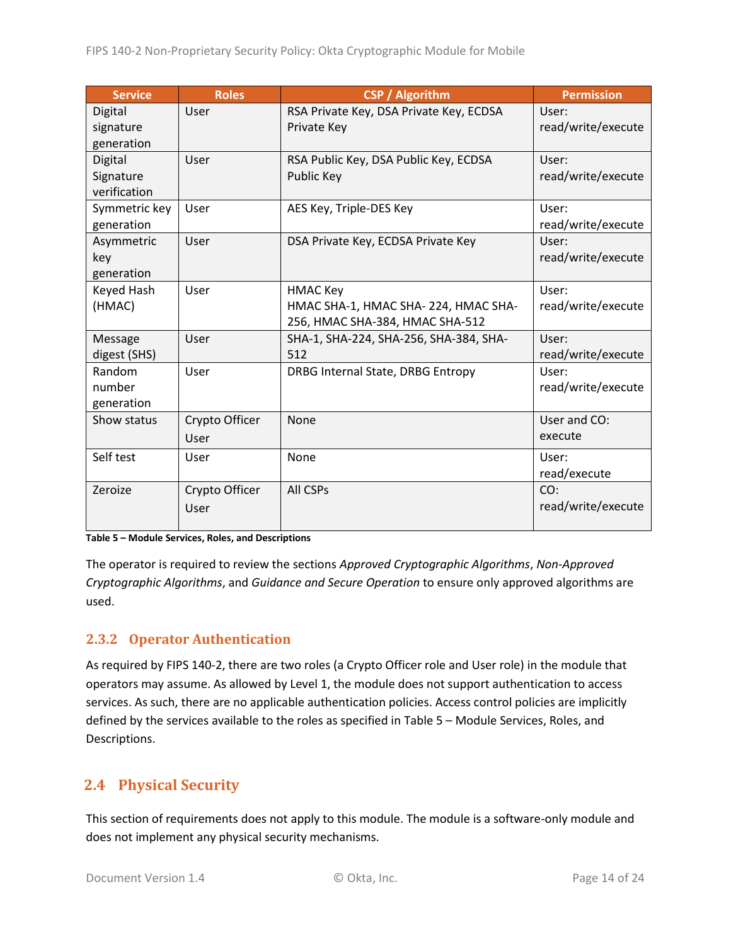| <b>Service</b> | <b>Roles</b>   | <b>CSP / Algorithm</b>                  | <b>Permission</b>  |
|----------------|----------------|-----------------------------------------|--------------------|
| Digital        | User           | RSA Private Key, DSA Private Key, ECDSA | User:              |
| signature      |                | Private Key                             | read/write/execute |
| generation     |                |                                         |                    |
| Digital        | User           | RSA Public Key, DSA Public Key, ECDSA   | User:              |
| Signature      |                | Public Key                              | read/write/execute |
| verification   |                |                                         |                    |
| Symmetric key  | User           | AES Key, Triple-DES Key                 | User:              |
| generation     |                |                                         | read/write/execute |
| Asymmetric     | User           | DSA Private Key, ECDSA Private Key      | User:              |
| key            |                |                                         | read/write/execute |
| generation     |                |                                         |                    |
| Keyed Hash     | User           | <b>HMAC Key</b>                         | User:              |
| (HMAC)         |                | HMAC SHA-1, HMAC SHA-224, HMAC SHA-     | read/write/execute |
|                |                | 256, HMAC SHA-384, HMAC SHA-512         |                    |
| Message        | User           | SHA-1, SHA-224, SHA-256, SHA-384, SHA-  | User:              |
| digest (SHS)   |                | 512                                     | read/write/execute |
| Random         | User           | DRBG Internal State, DRBG Entropy       | User:              |
| number         |                |                                         | read/write/execute |
| generation     |                |                                         |                    |
| Show status    | Crypto Officer | None                                    | User and CO:       |
|                | User           |                                         | execute            |
| Self test      | User           | None                                    | User:              |
|                |                |                                         | read/execute       |
| Zeroize        | Crypto Officer | All CSPs                                | CO:                |
|                | User           |                                         | read/write/execute |
|                |                |                                         |                    |

#### <span id="page-13-2"></span>**Table 5 – Module Services, Roles, and Descriptions**

The operator is required to review the sections *Approved Cryptographic Algorithms*, *Non-Approved Cryptographic Algorithms*, and *Guidance and Secure Operation* to ensure only approved algorithms are used.

#### <span id="page-13-0"></span>**2.3.2 Operator Authentication**

As required by FIPS 140-2, there are two roles (a Crypto Officer role and User role) in the module that operators may assume. As allowed by Level 1, the module does not support authentication to access services. As such, there are no applicable authentication policies. Access control policies are implicitly defined by the services available to the roles as specified in Table 5 – Module [Services, Roles,](#page-13-2) and [Descriptions.](#page-13-2)

#### <span id="page-13-1"></span>**2.4 Physical Security**

This section of requirements does not apply to this module. The module is a software-only module and does not implement any physical security mechanisms.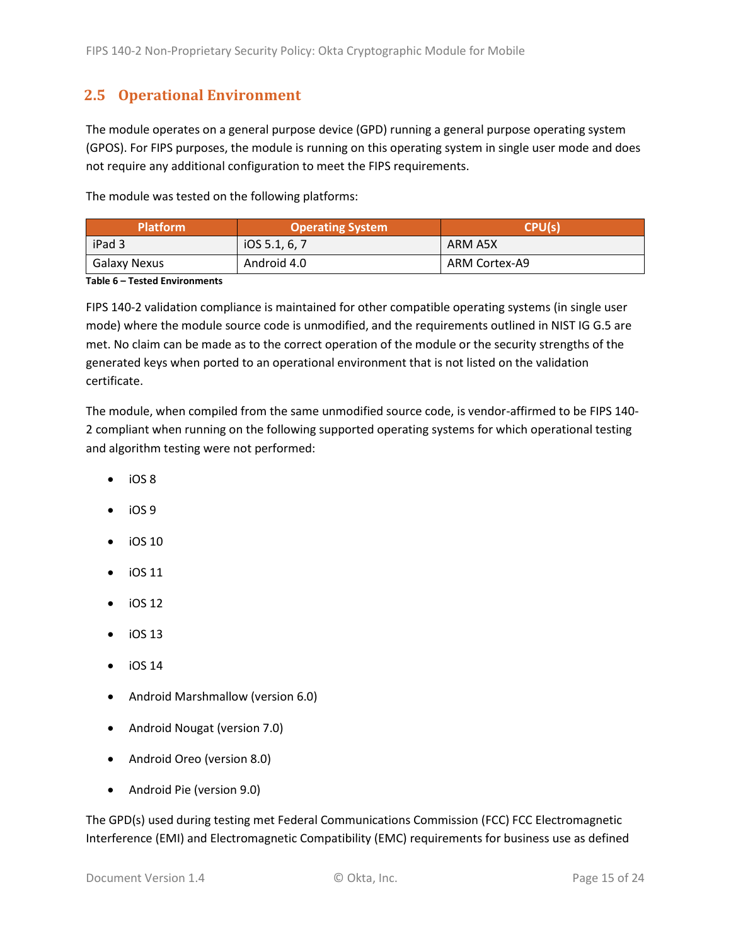### <span id="page-14-0"></span>**2.5 Operational Environment**

The module operates on a general purpose device (GPD) running a general purpose operating system (GPOS). For FIPS purposes, the module is running on this operating system in single user mode and does not require any additional configuration to meet the FIPS requirements.

The module was tested on the following platforms:

| <b>Platform</b> | <b>Operating System</b> | CPU(s)        |  |
|-----------------|-------------------------|---------------|--|
| iPad 3          | IOS 5.1, 6, 7           | ARM A5X       |  |
| Galaxy Nexus    | Android 4.0             | ARM Cortex-A9 |  |

#### **Table 6 – Tested Environments**

FIPS 140-2 validation compliance is maintained for other compatible operating systems (in single user mode) where the module source code is unmodified, and the requirements outlined in NIST IG G.5 are met. No claim can be made as to the correct operation of the module or the security strengths of the generated keys when ported to an operational environment that is not listed on the validation certificate.

The module, when compiled from the same unmodified source code, is vendor-affirmed to be FIPS 140- 2 compliant when running on the following supported operating systems for which operational testing and algorithm testing were not performed:

- iOS 8
- iOS 9
- iOS 10
- iOS 11
- iOS 12
- $\bullet$  iOS 13
- $\bullet$  iOS 14
- Android Marshmallow (version 6.0)
- Android Nougat (version 7.0)
- Android Oreo (version 8.0)
- Android Pie (version 9.0)

The GPD(s) used during testing met Federal Communications Commission (FCC) FCC Electromagnetic Interference (EMI) and Electromagnetic Compatibility (EMC) requirements for business use as defined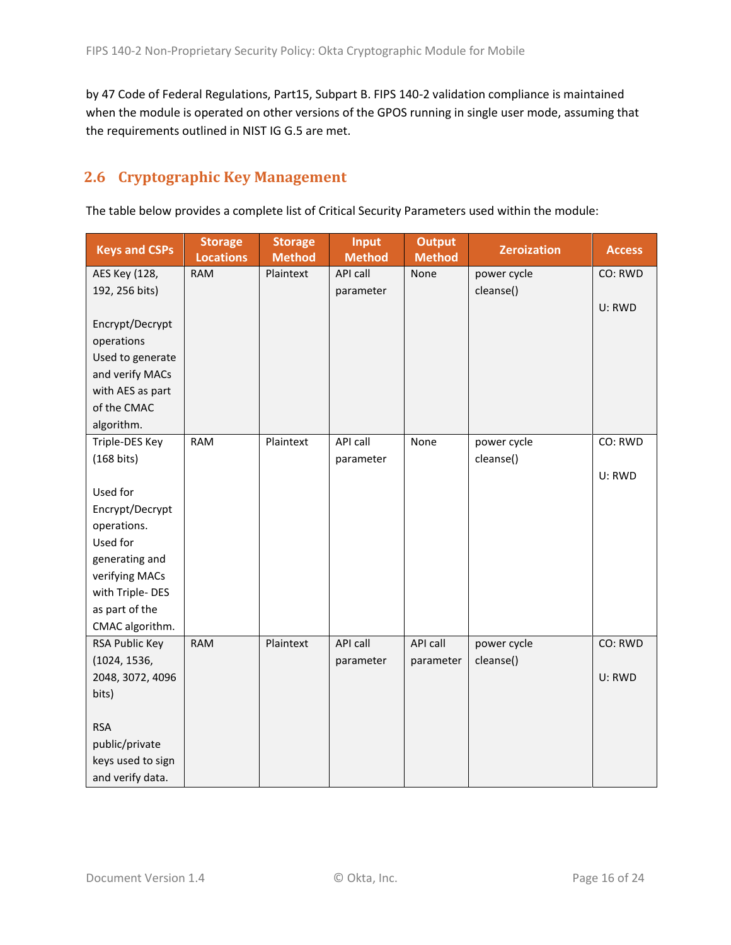by 47 Code of Federal Regulations, Part15, Subpart B. FIPS 140-2 validation compliance is maintained when the module is operated on other versions of the GPOS running in single user mode, assuming that the requirements outlined in NIST IG G.5 are met.

### <span id="page-15-0"></span>**2.6 Cryptographic Key Management**

The table below provides a complete list of Critical Security Parameters used within the module:

| <b>Keys and CSPs</b>             | <b>Storage</b><br><b>Locations</b> | <b>Storage</b><br><b>Method</b> | <b>Input</b><br><b>Method</b> | <b>Output</b><br><b>Method</b> | <b>Zeroization</b> | <b>Access</b> |
|----------------------------------|------------------------------------|---------------------------------|-------------------------------|--------------------------------|--------------------|---------------|
| AES Key (128,                    | <b>RAM</b>                         | Plaintext                       | API call                      | None                           | power cycle        | CO: RWD       |
| 192, 256 bits)                   |                                    |                                 | parameter                     |                                | cleanse()          |               |
|                                  |                                    |                                 |                               |                                |                    | U: RWD        |
| Encrypt/Decrypt                  |                                    |                                 |                               |                                |                    |               |
| operations                       |                                    |                                 |                               |                                |                    |               |
| Used to generate                 |                                    |                                 |                               |                                |                    |               |
| and verify MACs                  |                                    |                                 |                               |                                |                    |               |
| with AES as part                 |                                    |                                 |                               |                                |                    |               |
| of the CMAC                      |                                    |                                 |                               |                                |                    |               |
| algorithm.                       |                                    |                                 |                               |                                |                    |               |
| Triple-DES Key                   | <b>RAM</b>                         | Plaintext                       | API call                      | None                           | power cycle        | CO: RWD       |
| (168 bits)                       |                                    |                                 | parameter                     |                                | cleanse()          |               |
|                                  |                                    |                                 |                               |                                |                    | U: RWD        |
| Used for                         |                                    |                                 |                               |                                |                    |               |
| Encrypt/Decrypt                  |                                    |                                 |                               |                                |                    |               |
| operations.                      |                                    |                                 |                               |                                |                    |               |
| Used for                         |                                    |                                 |                               |                                |                    |               |
| generating and<br>verifying MACs |                                    |                                 |                               |                                |                    |               |
| with Triple-DES                  |                                    |                                 |                               |                                |                    |               |
| as part of the                   |                                    |                                 |                               |                                |                    |               |
| CMAC algorithm.                  |                                    |                                 |                               |                                |                    |               |
| RSA Public Key                   | <b>RAM</b>                         | Plaintext                       | API call                      | API call                       | power cycle        | CO: RWD       |
| (1024, 1536,                     |                                    |                                 | parameter                     | parameter                      | cleanse()          |               |
| 2048, 3072, 4096                 |                                    |                                 |                               |                                |                    | U: RWD        |
| bits)                            |                                    |                                 |                               |                                |                    |               |
|                                  |                                    |                                 |                               |                                |                    |               |
| <b>RSA</b>                       |                                    |                                 |                               |                                |                    |               |
| public/private                   |                                    |                                 |                               |                                |                    |               |
| keys used to sign                |                                    |                                 |                               |                                |                    |               |
| and verify data.                 |                                    |                                 |                               |                                |                    |               |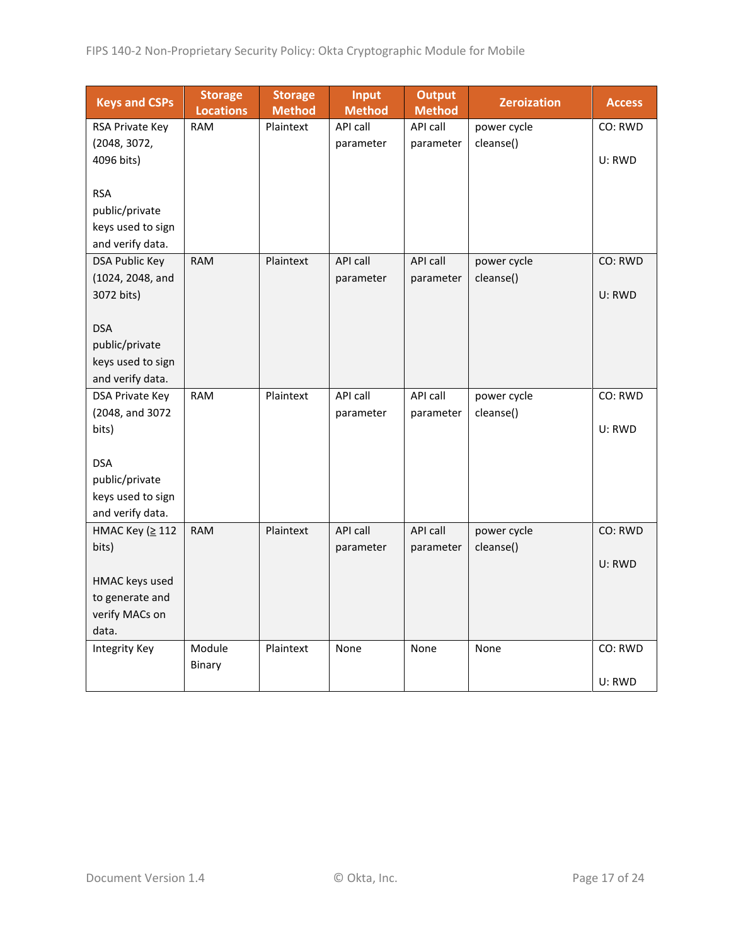| <b>Keys and CSPs</b>                  | <b>Storage</b><br><b>Locations</b> | <b>Storage</b><br><b>Method</b> | <b>Input</b><br><b>Method</b> | <b>Output</b><br><b>Method</b> | <b>Zeroization</b> | <b>Access</b> |
|---------------------------------------|------------------------------------|---------------------------------|-------------------------------|--------------------------------|--------------------|---------------|
| RSA Private Key                       | <b>RAM</b>                         | Plaintext                       | API call                      | API call                       | power cycle        | CO: RWD       |
| (2048, 3072,                          |                                    |                                 | parameter                     | parameter                      | cleanse()          |               |
| 4096 bits)                            |                                    |                                 |                               |                                |                    | U: RWD        |
|                                       |                                    |                                 |                               |                                |                    |               |
| <b>RSA</b>                            |                                    |                                 |                               |                                |                    |               |
| public/private                        |                                    |                                 |                               |                                |                    |               |
| keys used to sign<br>and verify data. |                                    |                                 |                               |                                |                    |               |
| <b>DSA Public Key</b>                 | <b>RAM</b>                         | Plaintext                       | <b>API call</b>               | API call                       | power cycle        | CO: RWD       |
| (1024, 2048, and                      |                                    |                                 | parameter                     | parameter                      | cleanse()          |               |
| 3072 bits)                            |                                    |                                 |                               |                                |                    | U: RWD        |
|                                       |                                    |                                 |                               |                                |                    |               |
| <b>DSA</b>                            |                                    |                                 |                               |                                |                    |               |
| public/private                        |                                    |                                 |                               |                                |                    |               |
| keys used to sign                     |                                    |                                 |                               |                                |                    |               |
| and verify data.                      |                                    |                                 |                               |                                |                    |               |
| DSA Private Key                       | <b>RAM</b>                         | Plaintext                       | API call                      | API call                       | power cycle        | CO: RWD       |
| (2048, and 3072                       |                                    |                                 | parameter                     | parameter                      | cleanse()          |               |
| bits)                                 |                                    |                                 |                               |                                |                    | U: RWD        |
|                                       |                                    |                                 |                               |                                |                    |               |
| <b>DSA</b><br>public/private          |                                    |                                 |                               |                                |                    |               |
| keys used to sign                     |                                    |                                 |                               |                                |                    |               |
| and verify data.                      |                                    |                                 |                               |                                |                    |               |
| HMAC Key (≥ 112                       | <b>RAM</b>                         | Plaintext                       | API call                      | API call                       | power cycle        | CO: RWD       |
| bits)                                 |                                    |                                 | parameter                     | parameter                      | cleanse()          |               |
|                                       |                                    |                                 |                               |                                |                    | U: RWD        |
| HMAC keys used                        |                                    |                                 |                               |                                |                    |               |
| to generate and                       |                                    |                                 |                               |                                |                    |               |
| verify MACs on                        |                                    |                                 |                               |                                |                    |               |
| data.                                 |                                    |                                 |                               |                                |                    |               |
| <b>Integrity Key</b>                  | Module                             | Plaintext                       | None                          | None                           | None               | CO: RWD       |
|                                       | Binary                             |                                 |                               |                                |                    |               |
|                                       |                                    |                                 |                               |                                |                    | U: RWD        |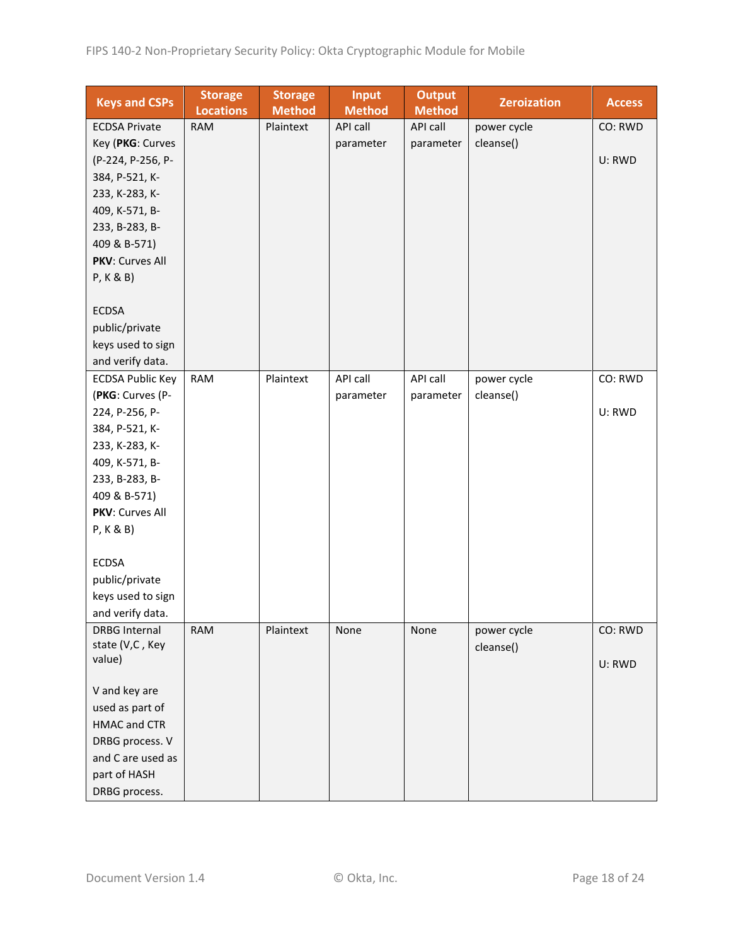| <b>Keys and CSPs</b>    | <b>Storage</b><br><b>Locations</b> | <b>Storage</b><br><b>Method</b> | <b>Input</b><br><b>Method</b> | <b>Output</b><br><b>Method</b> | <b>Zeroization</b> | <b>Access</b> |
|-------------------------|------------------------------------|---------------------------------|-------------------------------|--------------------------------|--------------------|---------------|
| <b>ECDSA Private</b>    | <b>RAM</b>                         | Plaintext                       | API call                      | API call                       | power cycle        | CO: RWD       |
| Key (PKG: Curves        |                                    |                                 | parameter                     | parameter                      | cleanse()          |               |
| (P-224, P-256, P-       |                                    |                                 |                               |                                |                    | U: RWD        |
| 384, P-521, K-          |                                    |                                 |                               |                                |                    |               |
| 233, K-283, K-          |                                    |                                 |                               |                                |                    |               |
| 409, K-571, B-          |                                    |                                 |                               |                                |                    |               |
| 233, B-283, B-          |                                    |                                 |                               |                                |                    |               |
| 409 & B-571)            |                                    |                                 |                               |                                |                    |               |
| PKV: Curves All         |                                    |                                 |                               |                                |                    |               |
| P, K & B)               |                                    |                                 |                               |                                |                    |               |
|                         |                                    |                                 |                               |                                |                    |               |
| <b>ECDSA</b>            |                                    |                                 |                               |                                |                    |               |
| public/private          |                                    |                                 |                               |                                |                    |               |
| keys used to sign       |                                    |                                 |                               |                                |                    |               |
| and verify data.        |                                    |                                 |                               |                                |                    |               |
| <b>ECDSA Public Key</b> | <b>RAM</b>                         | Plaintext                       | API call                      | API call                       | power cycle        | CO: RWD       |
| (PKG: Curves (P-        |                                    |                                 | parameter                     | parameter                      | cleanse()          |               |
| 224, P-256, P-          |                                    |                                 |                               |                                |                    | U: RWD        |
| 384, P-521, K-          |                                    |                                 |                               |                                |                    |               |
| 233, K-283, K-          |                                    |                                 |                               |                                |                    |               |
| 409, K-571, B-          |                                    |                                 |                               |                                |                    |               |
| 233, B-283, B-          |                                    |                                 |                               |                                |                    |               |
| 409 & B-571)            |                                    |                                 |                               |                                |                    |               |
| PKV: Curves All         |                                    |                                 |                               |                                |                    |               |
| P, K & B)               |                                    |                                 |                               |                                |                    |               |
|                         |                                    |                                 |                               |                                |                    |               |
| <b>ECDSA</b>            |                                    |                                 |                               |                                |                    |               |
| public/private          |                                    |                                 |                               |                                |                    |               |
| keys used to sign       |                                    |                                 |                               |                                |                    |               |
| and verify data.        |                                    |                                 |                               |                                |                    |               |
| <b>DRBG Internal</b>    | <b>RAM</b>                         | Plaintext                       | None                          | None                           | power cycle        | CO: RWD       |
| state (V,C, Key         |                                    |                                 |                               |                                | cleanse()          |               |
| value)                  |                                    |                                 |                               |                                |                    | U: RWD        |
| V and key are           |                                    |                                 |                               |                                |                    |               |
| used as part of         |                                    |                                 |                               |                                |                    |               |
| <b>HMAC and CTR</b>     |                                    |                                 |                               |                                |                    |               |
| DRBG process. V         |                                    |                                 |                               |                                |                    |               |
| and C are used as       |                                    |                                 |                               |                                |                    |               |
| part of HASH            |                                    |                                 |                               |                                |                    |               |
| DRBG process.           |                                    |                                 |                               |                                |                    |               |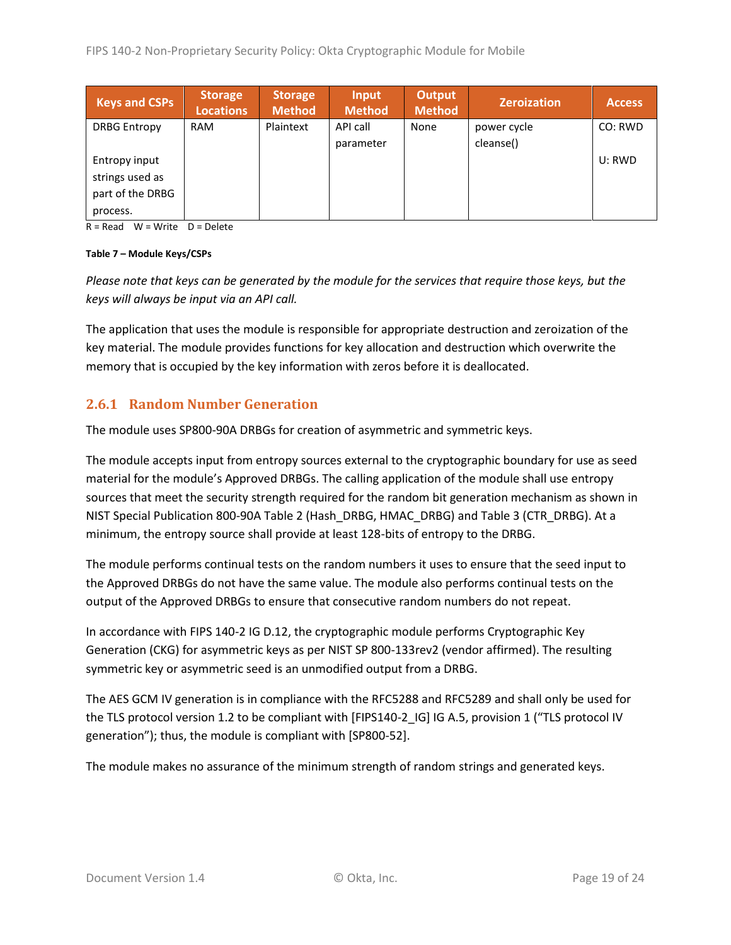| <b>Keys and CSPs</b> | <b>Storage</b><br>Locations | <b>Storage</b><br>Method | Input<br><b>Method</b> | <b>Output</b><br><b>Method</b> | <b>Zeroization</b> | <b>Access</b> |
|----------------------|-----------------------------|--------------------------|------------------------|--------------------------------|--------------------|---------------|
| <b>DRBG Entropy</b>  | <b>RAM</b>                  | Plaintext                | API call               | None                           | power cycle        | CO: RWD       |
|                      |                             |                          | parameter              |                                | cleanse()          |               |
| Entropy input        |                             |                          |                        |                                |                    | U: RWD        |
| strings used as      |                             |                          |                        |                                |                    |               |
| part of the DRBG     |                             |                          |                        |                                |                    |               |
| process.             |                             |                          |                        |                                |                    |               |

 $R = Read$  W = Write D = Delete

#### **Table 7 – Module Keys/CSPs**

*Please note that keys can be generated by the module for the services that require those keys, but the keys will always be input via an API call.*

The application that uses the module is responsible for appropriate destruction and zeroization of the key material. The module provides functions for key allocation and destruction which overwrite the memory that is occupied by the key information with zeros before it is deallocated.

#### <span id="page-18-0"></span>**2.6.1 Random Number Generation**

The module uses SP800-90A DRBGs for creation of asymmetric and symmetric keys.

The module accepts input from entropy sources external to the cryptographic boundary for use as seed material for the module's Approved DRBGs. The calling application of the module shall use entropy sources that meet the security strength required for the random bit generation mechanism as shown in NIST Special Publication 800-90A Table 2 (Hash\_DRBG, HMAC\_DRBG) and Table 3 (CTR\_DRBG). At a minimum, the entropy source shall provide at least 128-bits of entropy to the DRBG.

The module performs continual tests on the random numbers it uses to ensure that the seed input to the Approved DRBGs do not have the same value. The module also performs continual tests on the output of the Approved DRBGs to ensure that consecutive random numbers do not repeat.

In accordance with FIPS 140-2 IG D.12, the cryptographic module performs Cryptographic Key Generation (CKG) for asymmetric keys as per NIST SP 800-133rev2 (vendor affirmed). The resulting symmetric key or asymmetric seed is an unmodified output from a DRBG.

The AES GCM IV generation is in compliance with the RFC5288 and RFC5289 and shall only be used for the TLS protocol version 1.2 to be compliant with [FIPS140-2\_IG] IG A.5, provision 1 ("TLS protocol IV generation"); thus, the module is compliant with [SP800-52].

The module makes no assurance of the minimum strength of random strings and generated keys.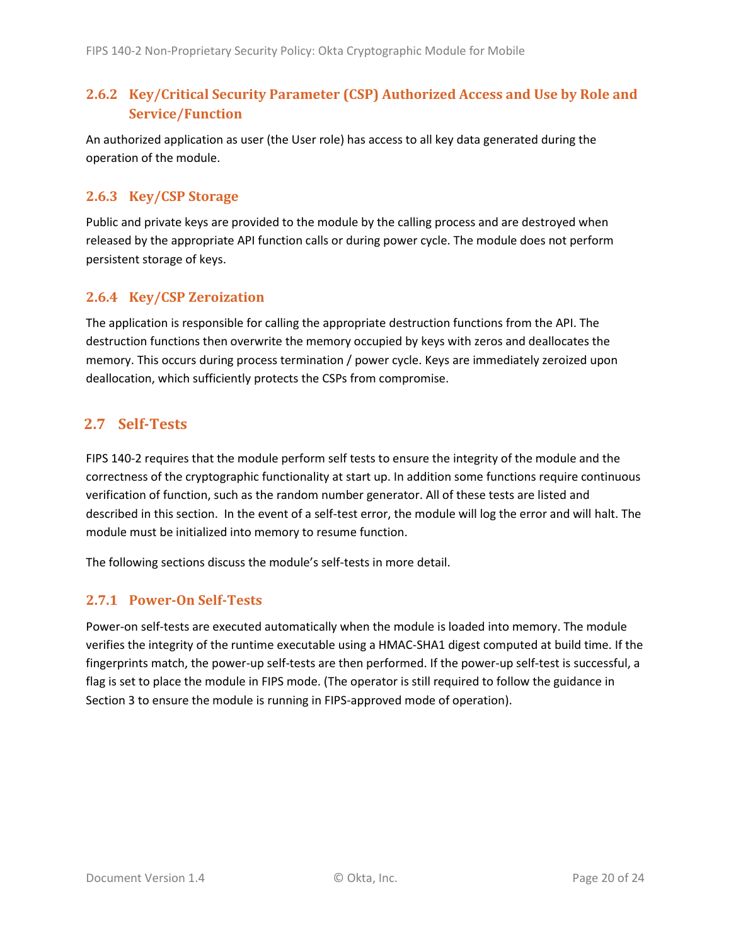#### <span id="page-19-0"></span>**2.6.2 Key/Critical Security Parameter (CSP) Authorized Access and Use by Role and Service/Function**

An authorized application as user (the User role) has access to all key data generated during the operation of the module.

#### <span id="page-19-1"></span>**2.6.3 Key/CSP Storage**

Public and private keys are provided to the module by the calling process and are destroyed when released by the appropriate API function calls or during power cycle. The module does not perform persistent storage of keys.

#### <span id="page-19-2"></span>**2.6.4 Key/CSP Zeroization**

The application is responsible for calling the appropriate destruction functions from the API. The destruction functions then overwrite the memory occupied by keys with zeros and deallocates the memory. This occurs during process termination / power cycle. Keys are immediately zeroized upon deallocation, which sufficiently protects the CSPs from compromise.

#### <span id="page-19-3"></span>**2.7 Self-Tests**

FIPS 140-2 requires that the module perform self tests to ensure the integrity of the module and the correctness of the cryptographic functionality at start up. In addition some functions require continuous verification of function, such as the random number generator. All of these tests are listed and described in this section. In the event of a self-test error, the module will log the error and will halt. The module must be initialized into memory to resume function.

The following sections discuss the module's self-tests in more detail.

#### <span id="page-19-4"></span>**2.7.1 Power-On Self-Tests**

Power-on self-tests are executed automatically when the module is loaded into memory. The module verifies the integrity of the runtime executable using a HMAC-SHA1 digest computed at build time. If the fingerprints match, the power-up self-tests are then performed. If the power-up self-test is successful, a flag is set to place the module in FIPS mode. (The operator is still required to follow the guidance in Section 3 to ensure the module is running in FIPS-approved mode of operation).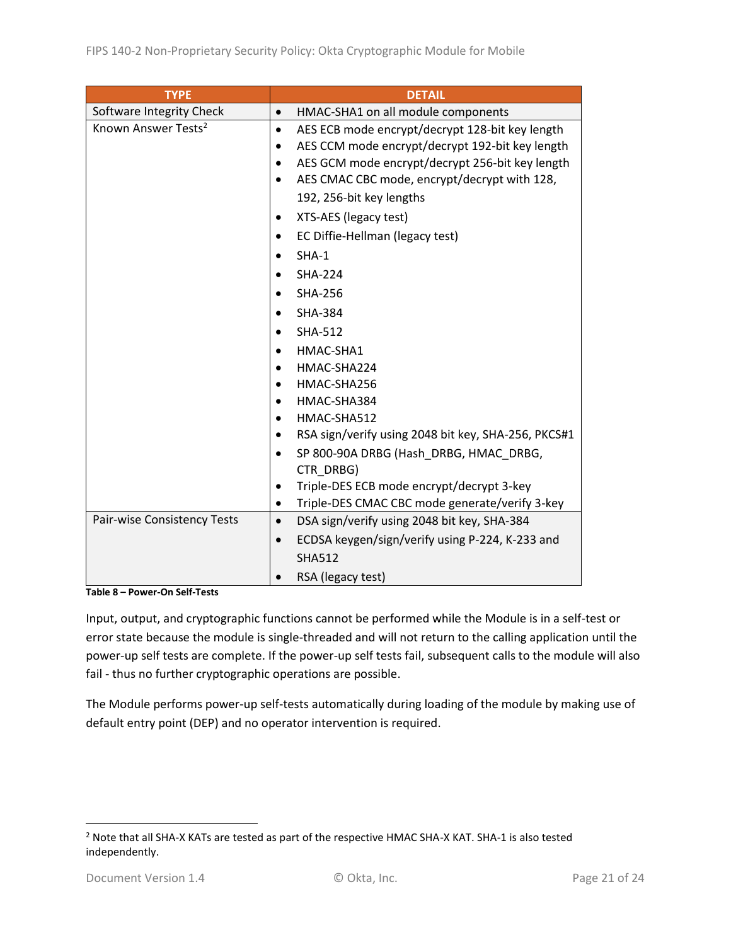| <b>TYPE</b>                     | <b>DETAIL</b>                                                |
|---------------------------------|--------------------------------------------------------------|
| Software Integrity Check        | HMAC-SHA1 on all module components<br>$\bullet$              |
| Known Answer Tests <sup>2</sup> | AES ECB mode encrypt/decrypt 128-bit key length<br>$\bullet$ |
|                                 | AES CCM mode encrypt/decrypt 192-bit key length              |
|                                 | AES GCM mode encrypt/decrypt 256-bit key length              |
|                                 | AES CMAC CBC mode, encrypt/decrypt with 128,                 |
|                                 | 192, 256-bit key lengths                                     |
|                                 | XTS-AES (legacy test)                                        |
|                                 | EC Diffie-Hellman (legacy test)                              |
|                                 | SHA-1                                                        |
|                                 | <b>SHA-224</b>                                               |
|                                 | <b>SHA-256</b>                                               |
|                                 | <b>SHA-384</b>                                               |
|                                 | SHA-512                                                      |
|                                 | HMAC-SHA1                                                    |
|                                 | HMAC-SHA224                                                  |
|                                 | HMAC-SHA256                                                  |
|                                 | HMAC-SHA384                                                  |
|                                 | HMAC-SHA512<br>$\bullet$                                     |
|                                 | RSA sign/verify using 2048 bit key, SHA-256, PKCS#1          |
|                                 | SP 800-90A DRBG (Hash_DRBG, HMAC_DRBG,                       |
|                                 | CTR DRBG)                                                    |
|                                 | Triple-DES ECB mode encrypt/decrypt 3-key                    |
|                                 | Triple-DES CMAC CBC mode generate/verify 3-key<br>٠          |
| Pair-wise Consistency Tests     | DSA sign/verify using 2048 bit key, SHA-384<br>$\bullet$     |
|                                 | ECDSA keygen/sign/verify using P-224, K-233 and<br>$\bullet$ |
|                                 | <b>SHA512</b>                                                |
|                                 | RSA (legacy test)                                            |

**Table 8 – Power-On Self-Tests**

Input, output, and cryptographic functions cannot be performed while the Module is in a self-test or error state because the module is single-threaded and will not return to the calling application until the power-up self tests are complete. If the power-up self tests fail, subsequent calls to the module will also fail - thus no further cryptographic operations are possible.

The Module performs power-up self-tests automatically during loading of the module by making use of default entry point (DEP) and no operator intervention is required.

<sup>2</sup> Note that all SHA-X KATs are tested as part of the respective HMAC SHA-X KAT. SHA-1 is also tested independently.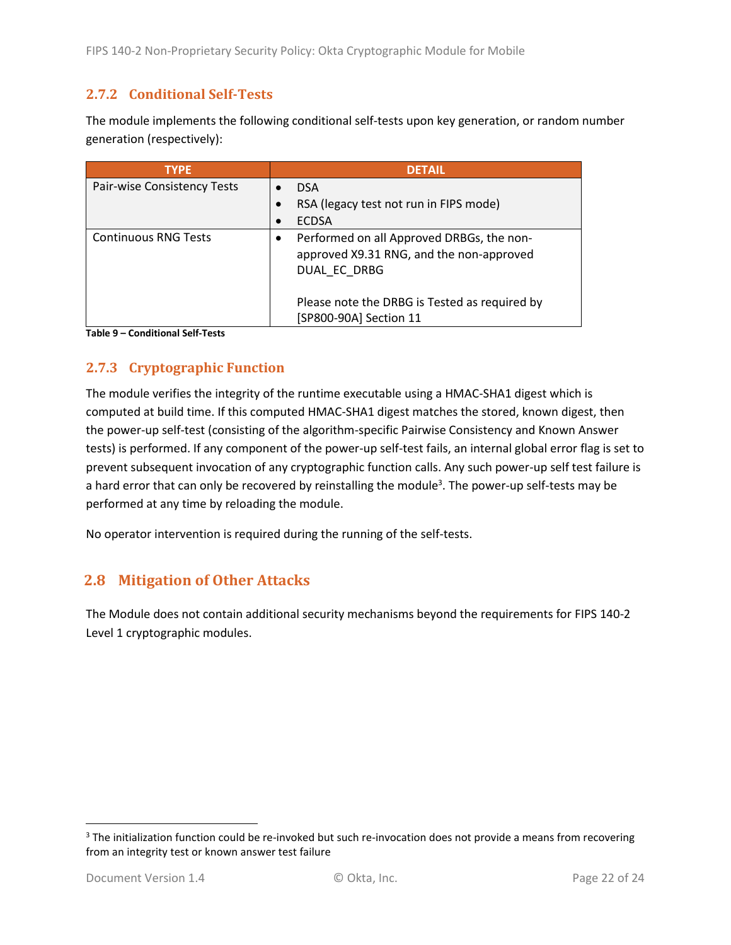#### <span id="page-21-0"></span>**2.7.2 Conditional Self-Tests**

The module implements the following conditional self-tests upon key generation, or random number generation (respectively):

| <b>TYPE</b>                 | <b>DETAIL</b>                                                                                         |
|-----------------------------|-------------------------------------------------------------------------------------------------------|
| Pair-wise Consistency Tests | <b>DSA</b>                                                                                            |
|                             | RSA (legacy test not run in FIPS mode)                                                                |
|                             | <b>ECDSA</b>                                                                                          |
| <b>Continuous RNG Tests</b> | Performed on all Approved DRBGs, the non-<br>approved X9.31 RNG, and the non-approved<br>DUAL EC DRBG |
|                             | Please note the DRBG is Tested as required by<br>[SP800-90A] Section 11                               |

**Table 9 – Conditional Self-Tests**

#### <span id="page-21-1"></span>**2.7.3 Cryptographic Function**

The module verifies the integrity of the runtime executable using a HMAC-SHA1 digest which is computed at build time. If this computed HMAC-SHA1 digest matches the stored, known digest, then the power-up self-test (consisting of the algorithm-specific Pairwise Consistency and Known Answer tests) is performed. If any component of the power-up self-test fails, an internal global error flag is set to prevent subsequent invocation of any cryptographic function calls. Any such power-up self test failure is a hard error that can only be recovered by reinstalling the module<sup>3</sup>. The power-up self-tests may be performed at any time by reloading the module.

No operator intervention is required during the running of the self-tests.

#### <span id="page-21-2"></span>**2.8 Mitigation of Other Attacks**

The Module does not contain additional security mechanisms beyond the requirements for FIPS 140-2 Level 1 cryptographic modules.

<sup>&</sup>lt;sup>3</sup> The initialization function could be re-invoked but such re-invocation does not provide a means from recovering from an integrity test or known answer test failure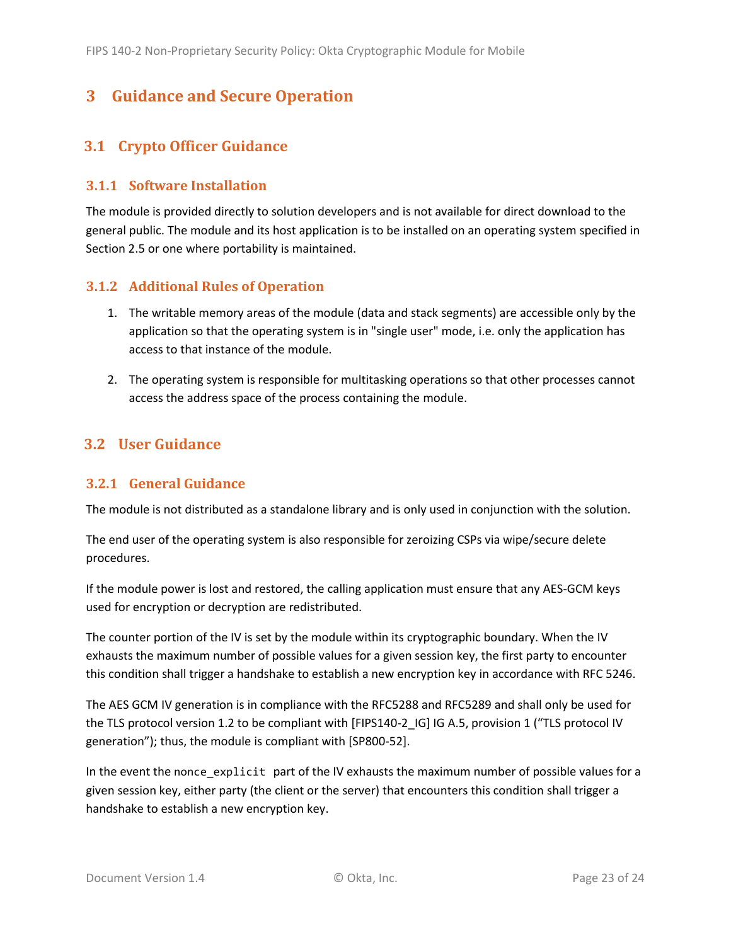## <span id="page-22-0"></span>**3 Guidance and Secure Operation**

### <span id="page-22-1"></span>**3.1 Crypto Officer Guidance**

#### <span id="page-22-2"></span>**3.1.1 Software Installation**

The module is provided directly to solution developers and is not available for direct download to the general public. The module and its host application is to be installed on an operating system specified in Sectio[n 2.5](#page-14-0) or one where portability is maintained.

#### <span id="page-22-3"></span>**3.1.2 Additional Rules of Operation**

- 1. The writable memory areas of the module (data and stack segments) are accessible only by the application so that the operating system is in "single user" mode, i.e. only the application has access to that instance of the module.
- 2. The operating system is responsible for multitasking operations so that other processes cannot access the address space of the process containing the module.

#### <span id="page-22-4"></span>**3.2 User Guidance**

#### <span id="page-22-5"></span>**3.2.1 General Guidance**

The module is not distributed as a standalone library and is only used in conjunction with the solution.

The end user of the operating system is also responsible for zeroizing CSPs via wipe/secure delete procedures.

If the module power is lost and restored, the calling application must ensure that any AES-GCM keys used for encryption or decryption are redistributed.

The counter portion of the IV is set by the module within its cryptographic boundary. When the IV exhausts the maximum number of possible values for a given session key, the first party to encounter this condition shall trigger a handshake to establish a new encryption key in accordance with RFC 5246.

The AES GCM IV generation is in compliance with the RFC5288 and RFC5289 and shall only be used for the TLS protocol version 1.2 to be compliant with [FIPS140-2 IG] IG A.5, provision 1 ("TLS protocol IV generation"); thus, the module is compliant with [SP800-52].

In the event the nonce\_explicit part of the IV exhausts the maximum number of possible values for a given session key, either party (the client or the server) that encounters this condition shall trigger a handshake to establish a new encryption key.